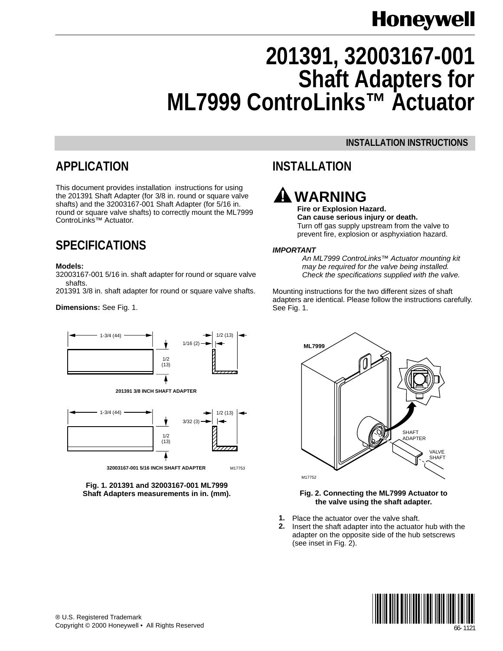# **Honeywell**

# **201391, 32003167-001 Shaft Adapters for ML7999 ControLinks™ Actuator**

#### **INSTALLATION INSTRUCTIONS**

### **APPLICATION**

This document provides installation instructions for using the 201391 Shaft Adapter (for 3/8 in. round or square valve shafts) and the 32003167-001 Shaft Adapter (for 5/16 in. round or square valve shafts) to correctly mount the ML7999 ControLinks™ Actuator.

## **SPECIFICATIONS**

#### **Models:**

32003167-001 5/16 in. shaft adapter for round or square valve shafts.

201391 3/8 in. shaft adapter for round or square valve shafts.

#### **Dimensions:** See Fig. 1.



**32003167-001 5/16 INCH SHAFT ADAPTER** M17753



## **INSTALLATION**

## **WARNING**

**Fire or Explosion Hazard. Can cause serious injury or death.** Turn off gas supply upstream from the valve to prevent fire, explosion or asphyxiation hazard.

#### **IMPORTANT**

An ML7999 ControLinks™ Actuator mounting kit may be required for the valve being installed. Check the specifications supplied with the valve.

Mounting instructions for the two different sizes of shaft adapters are identical. Please follow the instructions carefully. See Fig. 1.



#### **Fig. 2. Connecting the ML7999 Actuator to the valve using the shaft adapter.**

- **1.** Place the actuator over the valve shaft.
- **2.** Insert the shaft adapter into the actuator hub with the adapter on the opposite side of the hub setscrews (see inset in Fig. 2).